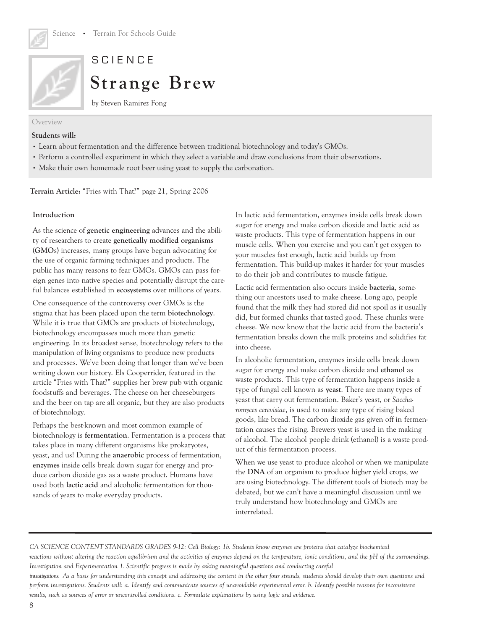



## **SCIENCE**

# **Strange Brew**

by Steven Ramirez Fong

#### Overview

#### **Students will:**

- Learn about fermentation and the difference between traditional biotechnology and today's GMOs.
- Perform a controlled experiment in which they select a variable and draw conclusions from their observations.
- Make their own homemade root beer using yeast to supply the carbonation.

**Terrain Article:** "Fries with That?" page 21, Spring 2006

#### **Introduction**

As the science of **genetic engineering** advances and the ability of researchers to create **genetically modified organisms** (**GMO**s) increases, many groups have begun advocating for the use of organic farming techniques and products. The public has many reasons to fear GMOs. GMOs can pass foreign genes into native species and potentially disrupt the careful balances established in **ecosystems** over millions of years.

One consequence of the controversy over GMOs is the stigma that has been placed upon the term **biotechnology**. While it is true that GMOs are products of biotechnology, biotechnology encompasses much more than genetic engineering. In its broadest sense, biotechnology refers to the manipulation of living organisms to produce new products and processes. We've been doing that longer than we've been writing down our history. Els Cooperrider, featured in the article "Fries with That?" supplies her brew pub with organic foodstuffs and beverages. The cheese on her cheeseburgers and the beer on tap are all organic, but they are also products of biotechnology.

Perhaps the best-known and most common example of biotechnology is **fermentation**. Fermentation is a process that takes place in many different organisms like prokaryotes, yeast, and us! During the **anaerobic** process of fermentation, **enzymes** inside cells break down sugar for energy and produce carbon dioxide gas as a waste product. Humans have used both **lactic acid** and alcoholic fermentation for thousands of years to make everyday products.

In lactic acid fermentation, enzymes inside cells break down sugar for energy and make carbon dioxide and lactic acid as waste products. This type of fermentation happens in our muscle cells. When you exercise and you can't get oxygen to your muscles fast enough, lactic acid builds up from fermentation. This build-up makes it harder for your muscles to do their job and contributes to muscle fatigue.

Lactic acid fermentation also occurs inside **bacteria**, something our ancestors used to make cheese. Long ago, people found that the milk they had stored did not spoil as it usually did, but formed chunks that tasted good. These chunks were cheese. We now know that the lactic acid from the bacteria's fermentation breaks down the milk proteins and solidifies fat into cheese.

In alcoholic fermentation, enzymes inside cells break down sugar for energy and make carbon dioxide and **ethanol** as waste products. This type of fermentation happens inside a type of fungal cell known as **yeast**. There are many types of yeast that carry out fermentation. Baker's yeast, or *Saccharomyces cerevisiae*, is used to make any type of rising baked goods, like bread. The carbon dioxide gas given off in fermentation causes the rising. Brewers yeast is used in the making of alcohol. The alcohol people drink (ethanol) is a waste product of this fermentation process.

When we use yeast to produce alcohol or when we manipulate the **DNA** of an organism to produce higher yield crops, we are using biotechnology. The different tools of biotech may be debated, but we can't have a meaningful discussion until we truly understand how biotechnology and GMOs are interrelated.

*CA SCIENCE CONTENT STANDARDS GRADES 9-12: Cell Biology: 1b. Students know enzymes are proteins that catalyze biochemical reactions without altering the reaction equilibrium and the activities of enzymes depend on the temperature, ionic conditions, and the pH of the surroundings. Investigation and Experimentation 1. Scientific progress is made by asking meaningful questions and conducting careful investigations. As a basis for understanding this concept and addressing the content in the other four strands, students should develop their own questions and perform investigations. Students will: a. Identify and communicate sources of unavoidable experimental error. b. Identify possible reasons for inconsistent*

*results, such as sources of error or uncontrolled conditions. c. Formulate explanations by using logic and evidence.*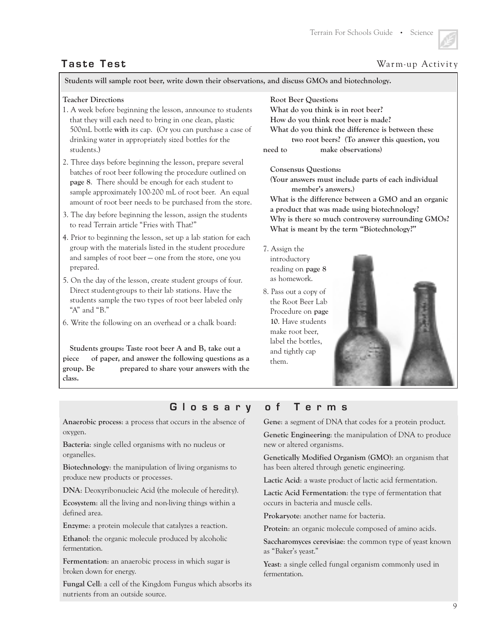### **Taste Test** Warm-up Activity

**Students will sample root beer, write down their observations, and discuss GMOs and biotechnology.**

#### **Teacher Directions**

- 1. A week before beginning the lesson, announce to students that they will each need to bring in one clean, plastic 500mL bottle **with** its cap. (Or you can purchase a case of drinking water in appropriately sized bottles for the students.)
- 2. Three days before beginning the lesson, prepare several batches of root beer following the procedure outlined on **page 8**. There should be enough for each student to sample approximately 100-200 mL of root beer. An equal amount of root beer needs to be purchased from the store.
- 3. The day before beginning the lesson, assign the students to read Terrain article "Fries with That?"
- 4. Prior to beginning the lesson, set up a lab station for each group with the materials listed in the student procedure and samples of root beer – one from the store, one you prepared.
- 5. On the day of the lesson, create student groups of four. Direct student-groups to their lab stations. Have the students sample the two types of root beer labeled only "A" and "B."
- 6. Write the following on an overhead or a chalk board:

**Students groups: Taste root beer A and B, take out a piece of paper, and answer the following questions as a group. Be prepared to share your answers with the class.**

#### **Root Beer Questions**

**What do you think is in root beer? How do you think root beer is made? What do you think the difference is between these two root beers? (To answer this question, you need to make observations)**

**Consensus Questions:**

**(Your answers must include parts of each individual member's answers.) What is the difference between a GMO and an organic** 

**a product that was made using biotechnology? Why is there so much controversy surrounding GMOs? What is meant by the term "Biotechnology?"**

- 7. Assign the introductory reading on **page 8** as homework.
- 8. Pass out a copy of the Root Beer Lab Procedure on **page 10**. Have students make root beer, label the bottles, and tightly cap them.



### **Glossary of Terms**

**Anaerobic process**: a process that occurs in the absence of oxygen.

**Bacteria**: single celled organisms with no nucleus or organelles.

**Biotechnology**: the manipulation of living organisms to produce new products or processes.

**DNA**: Deoxyribonucleic Acid (the molecule of heredity).

**Ecosystem**: all the living and non-living things within a defined area.

**Enzyme**: a protein molecule that catalyzes a reaction.

**Ethanol**: the organic molecule produced by alcoholic fermentation.

**Fermentation**: an anaerobic process in which sugar is broken down for energy.

**Fungal Cell**: a cell of the Kingdom Fungus which absorbs its nutrients from an outside source.

**Gene**: a segment of DNA that codes for a protein product.

**Genetic Engineering**: the manipulation of DNA to produce new or altered organisms.

**Genetically Modified Organism (GMO)**: an organism that has been altered through genetic engineering.

**Lactic Acid**: a waste product of lactic acid fermentation.

**Lactic Acid Fermentation**: the type of fermentation that occurs in bacteria and muscle cells.

**Prokaryote**: another name for bacteria.

**Protein**: an organic molecule composed of amino acids.

**Saccharomyces cerevisiae**: the common type of yeast known as "Baker's yeast."

**Yeast**: a single celled fungal organism commonly used in fermentation.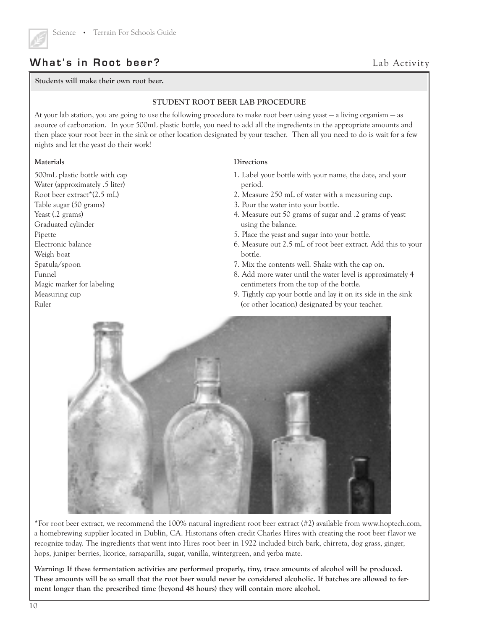

## **What's in Root beer?**

**Students will make their own root beer.**

#### **STUDENT ROOT BEER LAB PROCEDURE**

At your lab station, you are going to use the following procedure to make root beer using yeast – a living organism – as asource of carbonation. In your 500mL plastic bottle, you need to add all the ingredients in the appropriate amounts and then place your root beer in the sink or other location designated by your teacher. Then all you need to do is wait for a few nights and let the yeast do their work!

#### **Materials**

500mL plastic bottle with cap Water (approximately .5 liter) Root beer extract\*(2.5 mL) Table sugar (50 grams) Yeast (.2 grams) Graduated cylinder Pipette Electronic balance Weigh boat Spatula/spoon Funnel Magic marker for labeling Measuring cup Ruler

#### **Directions**

1. Label your bottle with your name, the date, and your period.

Lab Activity

- 2. Measure 250 mL of water with a measuring cup.
- 3. Pour the water into your bottle.
- 4. Measure out 50 grams of sugar and .2 grams of yeast using the balance.
- 5. Place the yeast and sugar into your bottle.
- 6. Measure out 2.5 mL of root beer extract. Add this to your bottle.
- 7. Mix the contents well. Shake with the cap on.
- 8. Add more water until the water level is approximately 4 centimeters from the top of the bottle.
- 9. Tightly cap your bottle and lay it on its side in the sink (or other location) designated by your teacher.



\*For root beer extract, we recommend the 100% natural ingredient root beer extract (#2) available from www.hoptech.com, a homebrewing supplier located in Dublin, CA. Historians often credit Charles Hires with creating the root beer f lavor we recognize today. The ingredients that went into Hires root beer in 1922 included birch bark, chirreta, dog grass, ginger, hops, juniper berries, licorice, sarsaparilla, sugar, vanilla, wintergreen, and yerba mate.

**Warning: If these fermentation activities are performed properly, tiny, trace amounts of alcohol will be produced. These amounts will be so small that the root beer would never be considered alcoholic. If batches are allowed to ferment longer than the prescribed time (beyond 48 hours) they will contain more alcohol.**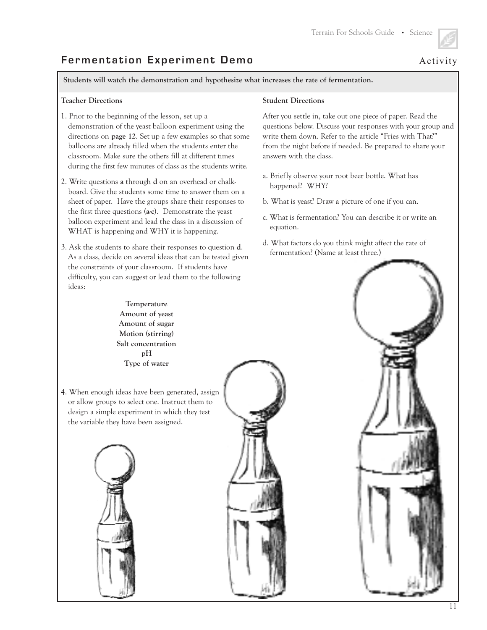## **Fermentation Experiment Demo** Activity

**Students will watch the demonstration and hypothesize what increases the rate of fermentation.**

#### **Teacher Directions**

- 1. Prior to the beginning of the lesson, set up a demonstration of the yeast balloon experiment using the directions on **page 12**. Set up a few examples so that some balloons are already filled when the students enter the classroom. Make sure the others fill at different times during the first few minutes of class as the students write.
- 2. Write questions **a** through **d** on an overhead or chalkboard. Give the students some time to answer them on a sheet of paper. Have the groups share their responses to the first three questions **(a-c)**. Demonstrate the yeast balloon experiment and lead the class in a discussion of WHAT is happening and WHY it is happening.
- 3. Ask the students to share their responses to question **d**. As a class, decide on several ideas that can be tested given the constraints of your classroom. If students have difficulty, you can suggest or lead them to the following ideas:

### **Student Directions**

After you settle in, take out one piece of paper. Read the questions below. Discuss your responses with your group and write them down. Refer to the article "Fries with That?" from the night before if needed. Be prepared to share your answers with the class.

- a. Briefly observe your root beer bottle. What has happened? WHY?
- b. What is yeast? Draw a picture of one if you can.
- c. What is fermentation? You can describe it or write an equation.
- d. What factors do you think might affect the rate of fermentation? (Name at least three.)



4. When enough ideas have been generated, assign or allow groups to select one. Instruct them to design a simple experiment in which they test the variable they have been assigned.





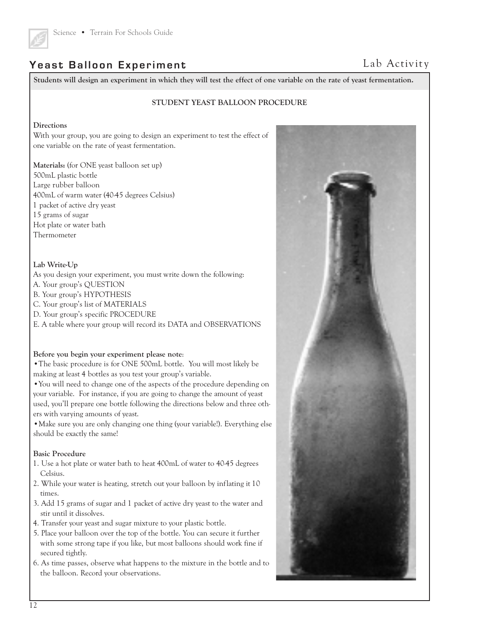

## **Yeast Balloon Experiment**

**Students will design an experiment in which they will test the effect of one variable on the rate of yeast fermentation.**

#### **STUDENT YEAST BALLOON PROCEDURE**

#### **Directions**

With your group, you are going to design an experiment to test the effect of one variable on the rate of yeast fermentation.

**Materials:** (for ONE yeast balloon set up) 500mL plastic bottle Large rubber balloon 400mL of warm water (40-45 degrees Celsius) 1 packet of active dry yeast 15 grams of sugar Hot plate or water bath Thermometer

#### **Lab Write-Up**

- As you design your experiment, you must write down the following:
- A. Your group's QUESTION
- B. Your group's HYPOTHESIS
- C. Your group's list of MATERIALS
- D. Your group's specific PROCEDURE
- E. A table where your group will record its DATA and OBSERVATIONS

#### **Before you begin your experiment please note**:

**•**The basic procedure is for ONE 500mL bottle. You will most likely be making at least 4 bottles as you test your group's variable.

**•**You will need to change one of the aspects of the procedure depending on your variable. For instance, if you are going to change the amount of yeast used, you'll prepare one bottle following the directions below and three others with varying amounts of yeast.

**•**Make sure you are only changing one thing (your variable!). Everything else should be exactly the same!

#### **Basic Procedure**

- 1. Use a hot plate or water bath to heat 400mL of water to 40-45 degrees Celsius.
- 2. While your water is heating, stretch out your balloon by inflating it 10 times.
- 3. Add 15 grams of sugar and 1 packet of active dry yeast to the water and stir until it dissolves.
- 4. Transfer your yeast and sugar mixture to your plastic bottle.
- 5. Place your balloon over the top of the bottle. You can secure it further with some strong tape if you like, but most balloons should work fine if secured tightly.
- 6. As time passes, observe what happens to the mixture in the bottle and to the balloon. Record your observations.



## Lab Activity